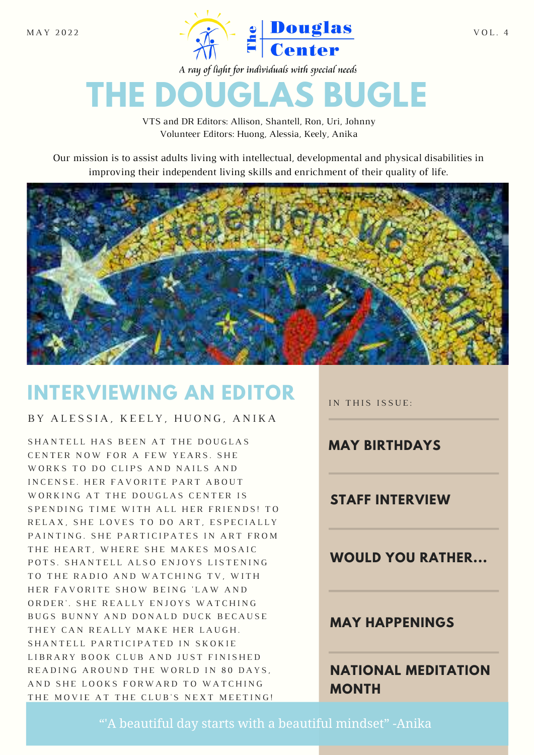

A ray of light for individuals with special needs

# **THE DOUGLAS BUGLE**

VTS and DR Editors: Allison, Shantell, Ron, Uri, Johnny Volunteer Editors: Huong, Alessia, Keely, Anika

Our mission is to assist adults living with intellectual, developmental and physical disabilities in improving their independent living skills and enrichment of their quality of life.



## **INTERVIEWING AN EDITOR**

BY ALESSIA, KEELY, HUONG, ANIKA

S HAN TELL HAS BEEN AT THE DOUGLAS CENTER NOW FOR A FEW YEARS. SHE WORKS TO DO CLIPS AND NAILS AND IN CENSE. HER FAVORITE PART ABOUT WORKING AT THE DOUGLAS CENTER IS SPENDING TIME WITH ALL HER FRIENDS! TO RELAX, SHE LOVES TO DO ART, ESPECIALLY PAINTING. SHE PARTICIPATES IN ART FROM THE HEART. WHERE SHE MAKES MOSAIC POTS. SHANTELL ALSO ENJOYS LISTENING TO THE RADIO AND WATCHING TV, WITH HER FAVORITE SHOW BEING 'LAW AND ORDER'. SHE REALLY ENJOYS WATCHING BUGS BUNNY AND DONALD DUCK BECAUSE THEY CAN REALLY MAKE HER LAUGH. SHANTELL PARTICIPATED IN SKOKIE LIBRARY BOOK CLUB AND JUST FINISHED READING AROUND THE WORLD IN 80 DAYS, AND SHE LOOKS FORWARD TO WATCHING THE MOVIE AT THE CLUB'S NEXT MEETING!

IN THIS ISSUE:

**MAY BIRTHDAYS**

**STAFF INTERVIEW**

**WOULD YOU RATHER...**

#### **MAY HAPPENINGS**

**NATIONAL MEDITATION MONTH**

"'A beautiful day starts with a beautiful mindset" -Anika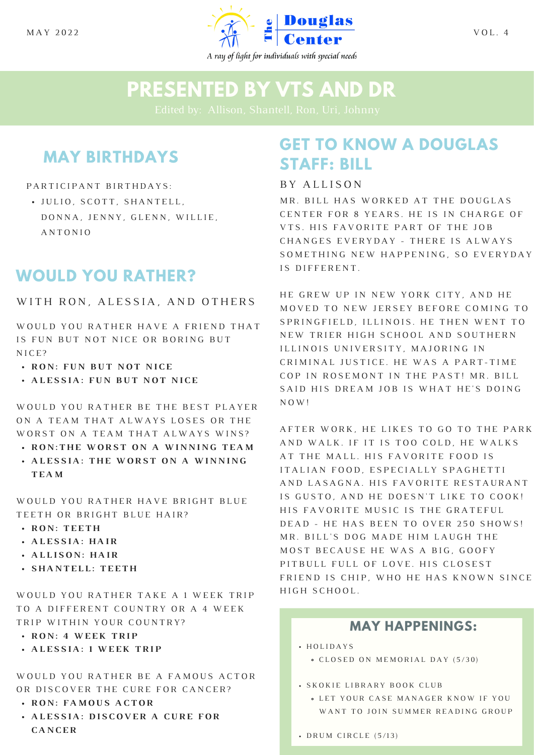

### **PRESENTED BY VTS AND DR**

### **MAY BIRTHDAYS**

#### PARTICIPANT BIRTHDAYS:

· JULIO, SCOTT, SHANTELL, DONNA, JENNY, GLENN, WILLIE, A N T O N I O

#### **WOULD YOU RATHER?**

WITH RON, ALESSIA, AND OTHERS

WOULD YOU RATHER HAVE A FRIEND THAT IS FUN BUT NOT NICE OR BORING BUT N<sub>ICE?</sub>

- **· RON: FUN BUT NOT NICE**
- **ALESSIA: FUN BUT NOT NICE**

WOULD YOU RATHER BE THE BEST PLAYER ON A TEAM THAT ALWAYS LOSES OR THE WORST ON A TEAM THAT ALWAYS WINS?

- **RON: THE WORST ON A WINNING TEAM**
- **ALESSIA: THE WORST ON A WINNING T E A M**

WOULD YOU RATHER HAVE BRIGHT BLUE TEETH OR BRIGHT BLUE HAIR?

- **R O N : T E E T H**
- **ALESSIA: HAIR**
- **A L L I S O N : H A I R**
- **S H A N T E L L : T E E T H**

WOULD YOU RATHER TAKE A 1 WEEK TRIP TO A DIFFERENT COUNTRY OR A 4 WEEK TRIP WITHIN YOUR COUNTRY?

- **RON: 4 WEEK TRIP**
- **ALESSIA: 1 WEEK TRIP**

WOULD YOU RATHER BE A FAMOUS ACTOR OR DISCOVER THE CURE FOR CANCER?

- **R O N : F A M O U S A C T O R**
- **A L E S S I A : D I S C O V E R A C U R E F O R C A N C E R**

### **GET TO KNOW A DOUGLAS STAFF: BILL**

#### B Y A L L I S O N

MR. BILL HAS WORKED AT THE DOUGLAS CENTER FOR 8 YEARS. HE IS IN CHARGE OF VTS. HIS FAVORITE PART OF THE JOB CHANGES EVERYDAY - THERE IS ALWAYS SOMETHING NEW HAPPENING, SO EVERYDAY IS DIFFERENT.

HE GREW UP IN NEW YORK CITY, AND HE MOVED TO NEW JERSEY BEFORE COMING TO SPRINGFIELD, ILLINOIS. HE THEN WENT TO NEW TRIER HIGH SCHOOL AND SOUTHERN ILLINOIS UNIVERSITY, MAJORING IN CRIMINAL JUSTICE. HE WAS A PART-TIME COP IN ROSEMONT IN THE PAST! MR. BILL SAID HIS DREAM JOB IS WHAT HE'S DOING N O W !

AFTER WORK, HE LIKES TO GO TO THE PARK AND WALK. IF IT IS TOO COLD, HE WALKS AT THE MALL. HIS FAVORITE FOOD IS ITALIAN FOOD, ESPECIALLY SPAGHETTI AND LASAGNA. HIS FAVORITE RESTAURANT IS GUSTO, AND HE DOESN'T LIKE TO COOK! HIS FAVORITE MUSIC IS THE GRATEFUL DEAD - HE HAS BEEN TO OVER 250 SHOWS! MR. BILL'S DOG MADE HIM LAUGH THE MOST BECAUSE HE WAS A BIG, GOOFY PIT BULL FULL OF LOVE. HIS CLOSEST FRIEND IS CHIP, WHO HE HAS KNOWN SINCE HIGH SCHOOL.

#### **MAY HAPPENINGS:**

H O L I D A Y S

• CLOSED ON MEMORIAL DAY (5/30)

- **· SKOKIE LIBRARY BOOK CLUB** 
	- LET YOUR CASE MANAGER KNOW IF YOU WANT TO JOIN SUMMER READING GROUP
- $\cdot$  DRUM CIRCLE (5/13)